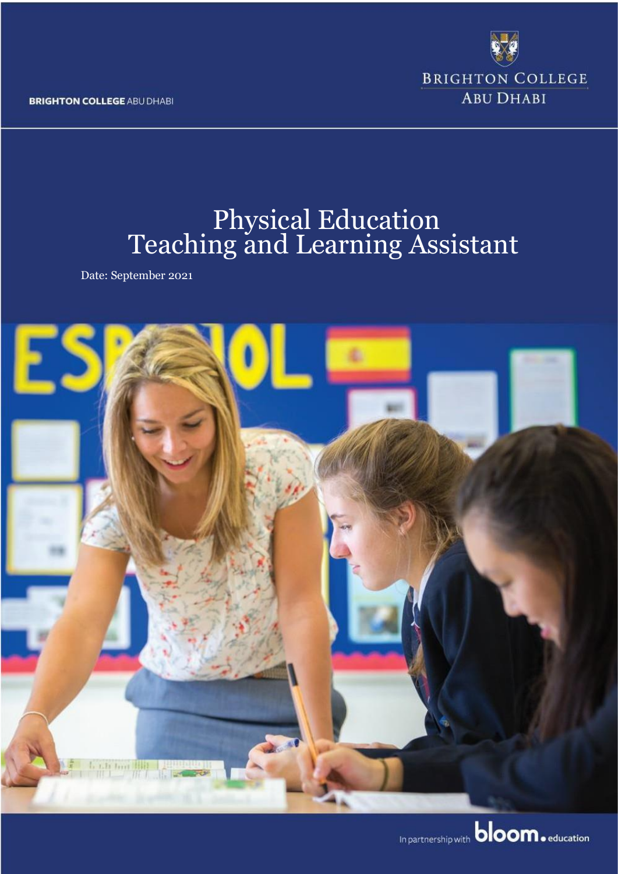**BRIGHTON COLLEGE ABU DHABI** 



# Physical Education Teaching and Learning Assistant

Date: September 2021

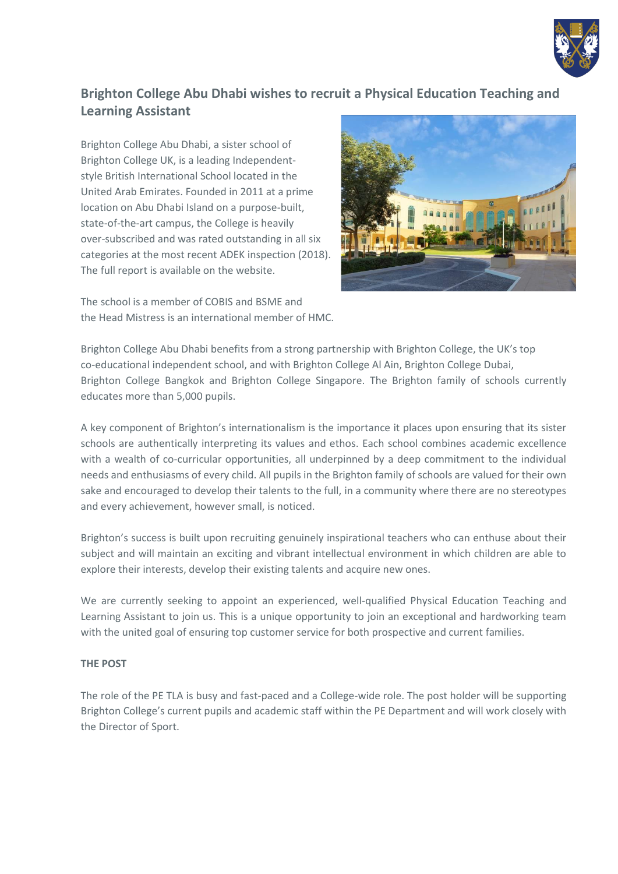

## **Brighton College Abu Dhabi wishes to recruit a Physical Education Teaching and Learning Assistant**

Brighton College Abu Dhabi, a sister school of Brighton College UK, is a leading Independentstyle British International School located in the United Arab Emirates. Founded in 2011 at a prime location on Abu Dhabi Island on a purpose-built, state-of-the-art campus, the College is heavily over-subscribed and was rated outstanding in all six categories at the most recent ADEK inspection (2018). The full report is available on the website.

The school is a member of COBIS and BSME and the Head Mistress is an international member of HMC.



Brighton College Abu Dhabi benefits from a strong partnership with Brighton College, the UK's top co-educational independent school, and with Brighton College Al Ain, Brighton College Dubai, Brighton College Bangkok and Brighton College Singapore. The Brighton family of schools currently educates more than 5,000 pupils.

A key component of Brighton's internationalism is the importance it places upon ensuring that its sister schools are authentically interpreting its values and ethos. Each school combines academic excellence with a wealth of co-curricular opportunities, all underpinned by a deep commitment to the individual needs and enthusiasms of every child. All pupils in the Brighton family of schools are valued for their own sake and encouraged to develop their talents to the full, in a community where there are no stereotypes and every achievement, however small, is noticed.

Brighton's success is built upon recruiting genuinely inspirational teachers who can enthuse about their subject and will maintain an exciting and vibrant intellectual environment in which children are able to explore their interests, develop their existing talents and acquire new ones.

We are currently seeking to appoint an experienced, well-qualified Physical Education Teaching and Learning Assistant to join us. This is a unique opportunity to join an exceptional and hardworking team with the united goal of ensuring top customer service for both prospective and current families.

#### **THE POST**

The role of the PE TLA is busy and fast-paced and a College-wide role. The post holder will be supporting Brighton College's current pupils and academic staff within the PE Department and will work closely with the Director of Sport.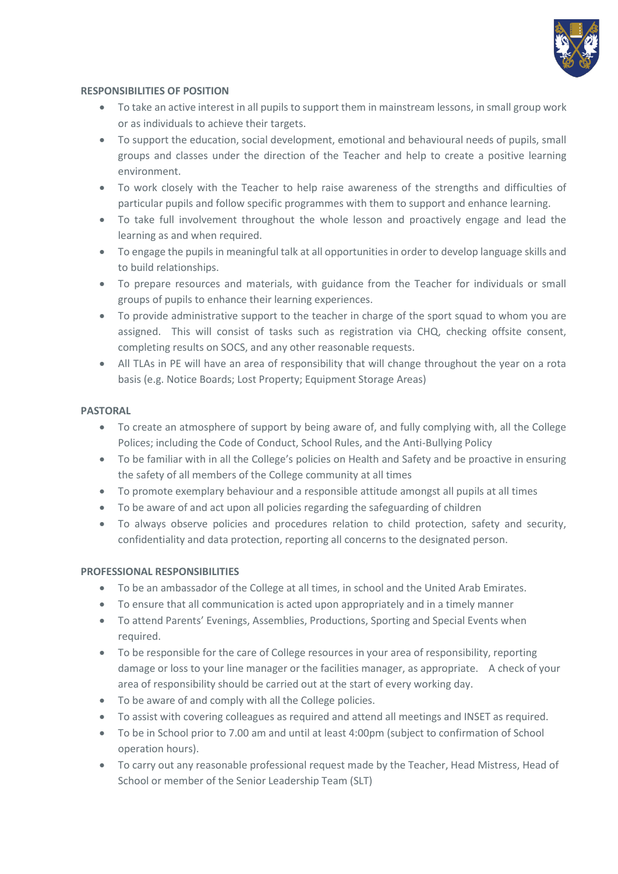

#### **RESPONSIBILITIES OF POSITION**

- To take an active interest in all pupils to support them in mainstream lessons, in small group work or as individuals to achieve their targets.
- To support the education, social development, emotional and behavioural needs of pupils, small groups and classes under the direction of the Teacher and help to create a positive learning environment.
- To work closely with the Teacher to help raise awareness of the strengths and difficulties of particular pupils and follow specific programmes with them to support and enhance learning.
- To take full involvement throughout the whole lesson and proactively engage and lead the learning as and when required.
- To engage the pupils in meaningful talk at all opportunities in order to develop language skills and to build relationships.
- To prepare resources and materials, with guidance from the Teacher for individuals or small groups of pupils to enhance their learning experiences.
- To provide administrative support to the teacher in charge of the sport squad to whom you are assigned. This will consist of tasks such as registration via CHQ, checking offsite consent, completing results on SOCS, and any other reasonable requests.
- All TLAs in PE will have an area of responsibility that will change throughout the year on a rota basis (e.g. Notice Boards; Lost Property; Equipment Storage Areas)

#### **PASTORAL**

- To create an atmosphere of support by being aware of, and fully complying with, all the College Polices; including the Code of Conduct, School Rules, and the Anti-Bullying Policy
- To be familiar with in all the College's policies on Health and Safety and be proactive in ensuring the safety of all members of the College community at all times
- To promote exemplary behaviour and a responsible attitude amongst all pupils at all times
- To be aware of and act upon all policies regarding the safeguarding of children
- To always observe policies and procedures relation to child protection, safety and security, confidentiality and data protection, reporting all concerns to the designated person.

#### **PROFESSIONAL RESPONSIBILITIES**

- To be an ambassador of the College at all times, in school and the United Arab Emirates.
- To ensure that all communication is acted upon appropriately and in a timely manner
- To attend Parents' Evenings, Assemblies, Productions, Sporting and Special Events when required.
- To be responsible for the care of College resources in your area of responsibility, reporting damage or loss to your line manager or the facilities manager, as appropriate. A check of your area of responsibility should be carried out at the start of every working day.
- To be aware of and comply with all the College policies.
- To assist with covering colleagues as required and attend all meetings and INSET as required.
- To be in School prior to 7.00 am and until at least 4:00pm (subject to confirmation of School operation hours).
- To carry out any reasonable professional request made by the Teacher, Head Mistress, Head of School or member of the Senior Leadership Team (SLT)